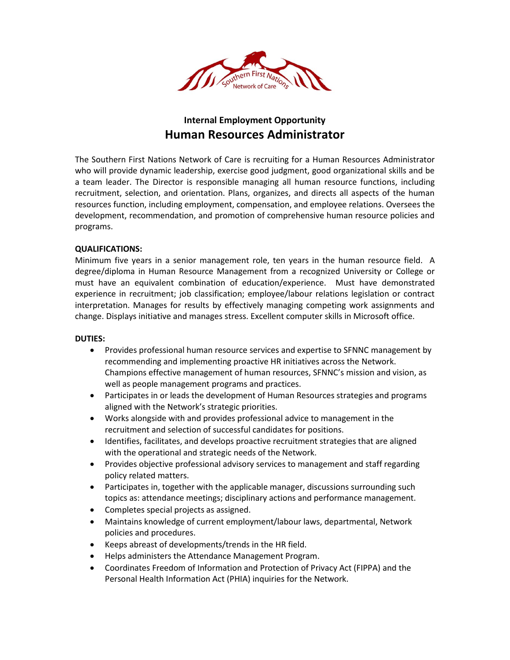

# **Internal Employment Opportunity Human Resources Administrator**

The Southern First Nations Network of Care is recruiting for a Human Resources Administrator who will provide dynamic leadership, exercise good judgment, good organizational skills and be a team leader. The Director is responsible managing all human resource functions, including recruitment, selection, and orientation. Plans, organizes, and directs all aspects of the human resources function, including employment, compensation, and employee relations. Oversees the development, recommendation, and promotion of comprehensive human resource policies and programs.

### **QUALIFICATIONS:**

Minimum five years in a senior management role, ten years in the human resource field. A degree/diploma in Human Resource Management from a recognized University or College or must have an equivalent combination of education/experience. Must have demonstrated experience in recruitment; job classification; employee/labour relations legislation or contract interpretation. Manages for results by effectively managing competing work assignments and change. Displays initiative and manages stress. Excellent computer skills in Microsoft office.

#### **DUTIES:**

- Provides professional human resource services and expertise to SFNNC management by recommending and implementing proactive HR initiatives across the Network. Champions effective management of human resources, SFNNC's mission and vision, as well as people management programs and practices.
- Participates in or leads the development of Human Resources strategies and programs aligned with the Network's strategic priorities.
- Works alongside with and provides professional advice to management in the recruitment and selection of successful candidates for positions.
- Identifies, facilitates, and develops proactive recruitment strategies that are aligned with the operational and strategic needs of the Network.
- Provides objective professional advisory services to management and staff regarding policy related matters.
- Participates in, together with the applicable manager, discussions surrounding such topics as: attendance meetings; disciplinary actions and performance management.
- Completes special projects as assigned.
- Maintains knowledge of current employment/labour laws, departmental, Network policies and procedures.
- Keeps abreast of developments/trends in the HR field.
- Helps administers the Attendance Management Program.
- Coordinates Freedom of Information and Protection of Privacy Act (FIPPA) and the Personal Health Information Act (PHIA) inquiries for the Network.